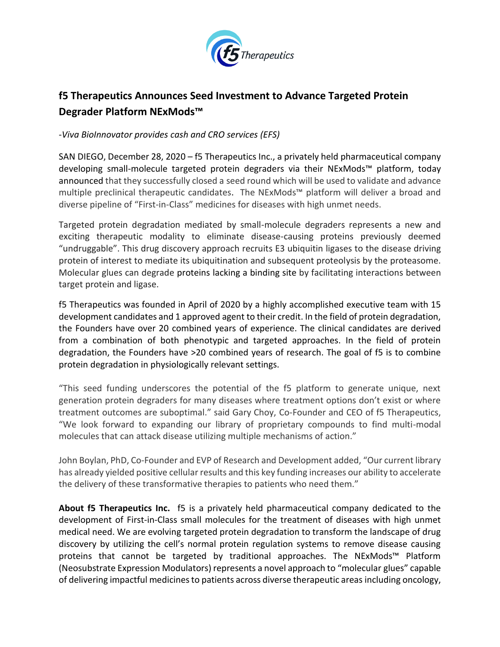

## **f5 Therapeutics Announces Seed Investment to Advance Targeted Protein Degrader Platform NExMods™**

-*Viva BioInnovator provides cash and CRO services (EFS)*

SAN DIEGO, December 28, 2020 – f5 Therapeutics Inc., a privately held pharmaceutical company developing small-molecule targeted protein degraders via their NExMods™ platform, today announced that they successfully closed a seed round which will be used to validate and advance multiple preclinical therapeutic candidates. The NExMods™ platform will deliver a broad and diverse pipeline of "First-in-Class" medicines for diseases with high unmet needs.

Targeted protein degradation mediated by small-molecule degraders represents a new and exciting therapeutic modality to eliminate disease-causing proteins previously deemed "undruggable". This drug discovery approach recruits E3 ubiquitin ligases to the disease driving protein of interest to mediate its ubiquitination and subsequent proteolysis by the proteasome. Molecular glues can degrade proteins lacking a binding site by facilitating interactions between target protein and ligase.

f5 Therapeutics was founded in April of 2020 by a highly accomplished executive team with 15 development candidates and 1 approved agent to their credit. In the field of protein degradation, the Founders have over 20 combined years of experience. The clinical candidates are derived from a combination of both phenotypic and targeted approaches. In the field of protein degradation, the Founders have >20 combined years of research. The goal of f5 is to combine protein degradation in physiologically relevant settings.

"This seed funding underscores the potential of the f5 platform to generate unique, next generation protein degraders for many diseases where treatment options don't exist or where treatment outcomes are suboptimal." said Gary Choy, Co-Founder and CEO of f5 Therapeutics, "We look forward to expanding our library of proprietary compounds to find multi-modal molecules that can attack disease utilizing multiple mechanisms of action."

John Boylan, PhD, Co-Founder and EVP of Research and Development added, "Our current library has already yielded positive cellular results and this key funding increases our ability to accelerate the delivery of these transformative therapies to patients who need them."

**About f5 Therapeutics Inc.** f5 is a privately held pharmaceutical company dedicated to the development of First-in-Class small molecules for the treatment of diseases with high unmet medical need. We are evolving targeted protein degradation to transform the landscape of drug discovery by utilizing the cell's normal protein regulation systems to remove disease causing proteins that cannot be targeted by traditional approaches. The NExMods™ Platform (Neosubstrate Expression Modulators) represents a novel approach to "molecular glues" capable of delivering impactful medicines to patients across diverse therapeutic areas including oncology,